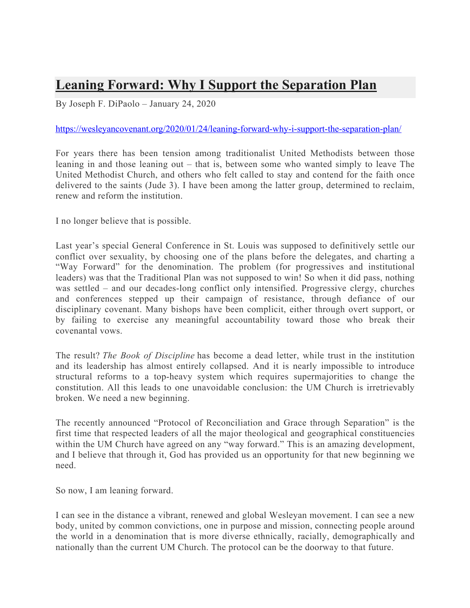## **Leaning Forward: Why I Support the Separation Plan**

By Joseph F. DiPaolo – January 24, 2020

## https://wesleyancovenant.org/2020/01/24/leaning-forward-why-i-support-the-separation-plan/

For years there has been tension among traditionalist United Methodists between those leaning in and those leaning out – that is, between some who wanted simply to leave The United Methodist Church, and others who felt called to stay and contend for the faith once delivered to the saints (Jude 3). I have been among the latter group, determined to reclaim, renew and reform the institution.

I no longer believe that is possible.

Last year's special General Conference in St. Louis was supposed to definitively settle our conflict over sexuality, by choosing one of the plans before the delegates, and charting a "Way Forward" for the denomination. The problem (for progressives and institutional leaders) was that the Traditional Plan was not supposed to win! So when it did pass, nothing was settled – and our decades-long conflict only intensified. Progressive clergy, churches and conferences stepped up their campaign of resistance, through defiance of our disciplinary covenant. Many bishops have been complicit, either through overt support, or by failing to exercise any meaningful accountability toward those who break their covenantal vows.

The result? *The Book of Discipline* has become a dead letter, while trust in the institution and its leadership has almost entirely collapsed. And it is nearly impossible to introduce structural reforms to a top-heavy system which requires supermajorities to change the constitution. All this leads to one unavoidable conclusion: the UM Church is irretrievably broken. We need a new beginning.

The recently announced "Protocol of Reconciliation and Grace through Separation" is the first time that respected leaders of all the major theological and geographical constituencies within the UM Church have agreed on any "way forward." This is an amazing development, and I believe that through it, God has provided us an opportunity for that new beginning we need.

So now, I am leaning forward.

I can see in the distance a vibrant, renewed and global Wesleyan movement. I can see a new body, united by common convictions, one in purpose and mission, connecting people around the world in a denomination that is more diverse ethnically, racially, demographically and nationally than the current UM Church. The protocol can be the doorway to that future.